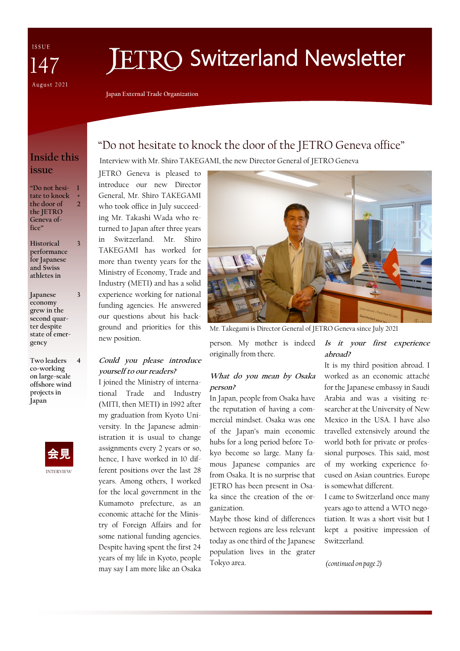ISSUE 47 August 2021

# **ETRO Switzerland Newsletter**

**Japan External Trade Organization**

## **Inside this issue**

**"Do not hesitate to knock the door of the JETRO Geneva office" 1 + 2**

**Historical performance for Japanese and Swiss athletes in 3**

**Japanese economy grew in the second quarter despite state of emergency 3**

**Two leaders co-working on large-scale offshore wind projects in Japan 4**



# "Do not hesitate to knock the door of the JETRO Geneva office"

Interview with Mr. Shiro TAKEGAMI, the new Director General of JETRO Geneva

JETRO Geneva is pleased to introduce our new Director General, Mr. Shiro TAKEGAMI who took office in July succeeding Mr. Takashi Wada who returned to Japan after three years in Switzerland. Mr. Shiro TAKEGAMI has worked for more than twenty years for the Ministry of Economy, Trade and Industry (METI) and has a solid experience working for national funding agencies. He answered our questions about his background and priorities for this new position.

#### **Could you please introduce yourself to our readers?**

I joined the Ministry of international Trade and Industry (MITI, then METI) in 1992 after my graduation from Kyoto University. In the Japanese administration it is usual to change assignments every 2 years or so, hence, I have worked in 10 different positions over the last 28 years. Among others, I worked for the local government in the Kumamoto prefecture, as an economic attaché for the Ministry of Foreign Affairs and for some national funding agencies. Despite having spent the first 24 years of my life in Kyoto, people may say I am more like an Osaka



Mr. Takegami is Director General of JETRO Geneva since July 2021

person. My mother is indeed originally from there.

#### **What do you mean by Osaka person?**

In Japan, people from Osaka have the reputation of having a commercial mindset. Osaka was one of the Japan's main economic hubs for a long period before Tokyo become so large. Many famous Japanese companies are from Osaka. It is no surprise that JETRO has been present in Osaka since the creation of the organization.

Maybe those kind of differences between regions are less relevant today as one third of the Japanese population lives in the grater Tokyo area.

#### **Is it your first experience abroad?**

It is my third position abroad. I worked as an economic attaché for the Japanese embassy in Saudi Arabia and was a visiting researcher at the University of New Mexico in the USA. I have also travelled extensively around the world both for private or professional purposes. This said, most of my working experience focused on Asian countries. Europe is somewhat different.

I came to Switzerland once many years ago to attend a WTO negotiation. It was a short visit but I kept a positive impression of Switzerland.

*(continued on page 2)*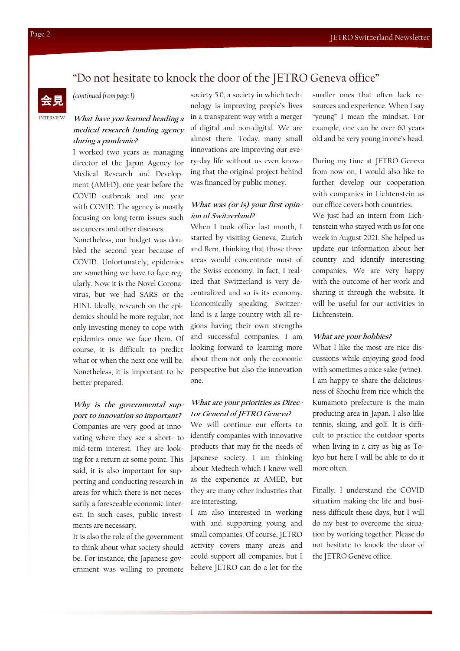# "Do not hesitate to knock the door of the JETRO Geneva office"



*(continued from page 1)*

### **What have you learned heading a medical research funding agency during a pandemic?**

I worked two years as managing director of the Japan Agency for Medical Research and Development (AMED), one year before the COVID outbreak and one year with COVID. The agency is mostly focusing on long-term issues such as cancers and other diseases.

Nonetheless, our budget was doubled the second year because of COVID. Unfortunately, epidemics are something we have to face regularly. Now it is the Novel Coronavirus, but we had SARS or the H1N1. Ideally, research on the epidemics should be more regular, not only investing money to cope with epidemics once we face them. Of course, it is difficult to predict what or when the next one will be. Nonetheless, it is important to be better prepared.

#### **Why is the governmental support to innovation so important?**

Companies are very good at innovating where they see a short- to mid-term interest. They are looking for a return at some point. This said, it is also important for supporting and conducting research in areas for which there is not necessarily a foreseeable economic interest. In such cases, public investments are necessary.

It is also the role of the government to think about what society should be. For instance, the Japanese government was willing to promote

society 5.0, a society in which technology is improving people's lives in a transparent way with a merger of digital and non-digital. We are almost there. Today, many small innovations are improving our every-day life without us even knowing that the original project behind was financed by public money.

#### **What was (or is) your first opinion of Switzerland?**

When I took office last month, I started by visiting Geneva, Zurich and Bern, thinking that those three areas would concentrate most of the Swiss economy. In fact, I realized that Switzerland is very decentralized and so is its economy. Economically speaking, Switzerland is a large country with all regions having their own strengths and successful companies. I am looking forward to learning more about them not only the economic perspective but also the innovation one.

#### **What are your priorities as Director General of JETRO Geneva?**

We will continue our efforts to identify companies with innovative products that may fit the needs of Japanese society. I am thinking about Medtech which I know well as the experience at AMED, but they are many other industries that are interesting.

I am also interested in working with and supporting young and small companies. Of course, JETRO activity covers many areas and could support all companies, but I believe JETRO can do a lot for the smaller ones that often lack resources and experience. When I say "young" I mean the mindset. For example, one can be over 60 years old and be very young in one's head.

During my time at JETRO Geneva from now on, I would also like to further develop our cooperation with companies in Lichtenstein as our office covers both countries. We just had an intern from Lichtenstein who stayed with us for one week in August 2021. She helped us update our information about her country and identify interesting companies. We are very happy

with the outcome of her work and sharing it through the website. It will be useful for our activities in Lichtenstein.

#### **What are your hobbies?**

What I like the most are nice discussions while enjoying good food with sometimes a nice sake (wine). I am happy to share the deliciousness of Shochu from rice which the Kumamoto prefecture is the main producing area in Japan. I also like tennis, skiing, and golf. It is difficult to practice the outdoor sports when living in a city as big as Tokyo but here I will be able to do it more often.

Finally, I understand the COVID situation making the life and business difficult these days, but I will do my best to overcome the situation by working together. Please do not hesitate to knock the door of the JETRO Genève office.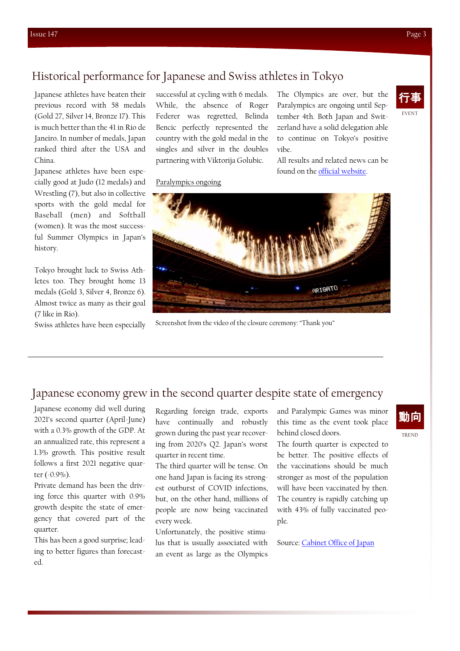# Historical performance for Japanese and Swiss athletes in Tokyo

Paralympics ongoing

Japanese athletes have beaten their previous record with 58 medals (Gold 27, Silver 14, Bronze 17). This is much better than the 41 in Rio de Janeiro. In number of medals, Japan ranked third after the USA and China.

Japanese athletes have been especially good at Judo (12 medals) and Wrestling (7), but also in collective sports with the gold medal for Baseball (men) and Softball (women). It was the most successful Summer Olympics in Japan's history.

Tokyo brought luck to Swiss Athletes too. They brought home 13 medals (Gold 3, Silver 4, Bronze 6). Almost twice as many as their goal (7 like in Rio).

successful at cycling with 6 medals. While, the absence of Roger Federer was regretted, Belinda Bencic perfectly represented the country with the gold medal in the singles and silver in the doubles partnering with Viktorija Golubic.

The Olympics are over, but the Paralympics are ongoing until September 4th. Both Japan and Switzerland have a solid delegation able to continue on Tokyo's positive vibe.

All results and related news can be found on the [official website.](https://olympics.com/tokyo-2020/en/news/olympic-stadium-officially-opened)





Swiss athletes have been especially Screenshot from the video of the closure ceremony: "Thank you"

## Japanese economy grew in the second quarter despite state of emergency

Japanese economy did well during 2021's second quarter (April-June) with a 0.3% growth of the GDP. At an annualized rate, this represent a 1.3% growth. This positive result follows a first 2021 negative quarter (-0.9%).

Private demand has been the driving force this quarter with 0.9% growth despite the state of emergency that covered part of the quarter.

This has been a good surprise; leading to better figures than forecasted.

Regarding foreign trade, exports have continually and robustly grown during the past year recovering from 2020's Q2. Japan's worst quarter in recent time.

The third quarter will be tense. On one hand Japan is facing its strongest outburst of COVID infections, but, on the other hand, millions of people are now being vaccinated every week.

Unfortunately, the positive stimulus that is usually associated with an event as large as the Olympics

and Paralympic Games was minor this time as the event took place behind closed doors.

The fourth quarter is expected to be better. The positive effects of the vaccinations should be much stronger as most of the population will have been vaccinated by then. The country is rapidly catching up with 43% of fully vaccinated people.

Source: [Cabinet Office of Japan](https://www.esri.cao.go.jp/en/sna/data/sokuhou/files/2021/qe212/gdemenuea.html)

# 動向

TREND